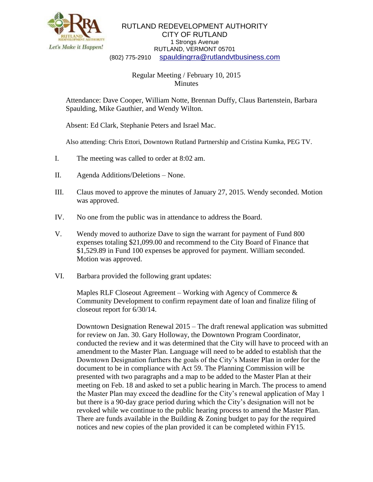

## RUTLAND REDEVELOPMENT AUTHORITY CITY OF RUTLAND 1 Strongs Avenue RUTLAND, VERMONT 05701 (802) 775-2910 [spauldingrra@rutlandvtbusiness.com](mailto:allenrra@rutlandvtbusiness.com)

## Regular Meeting / February 10, 2015 Minutes

Attendance: Dave Cooper, William Notte, Brennan Duffy, Claus Bartenstein, Barbara Spaulding, Mike Gauthier, and Wendy Wilton.

Absent: Ed Clark, Stephanie Peters and Israel Mac.

Also attending: Chris Ettori, Downtown Rutland Partnership and Cristina Kumka, PEG TV.

- I. The meeting was called to order at 8:02 am.
- II. Agenda Additions/Deletions None.
- III. Claus moved to approve the minutes of January 27, 2015. Wendy seconded. Motion was approved.
- IV. No one from the public was in attendance to address the Board.
- V. Wendy moved to authorize Dave to sign the warrant for payment of Fund 800 expenses totaling \$21,099.00 and recommend to the City Board of Finance that \$1,529.89 in Fund 100 expenses be approved for payment. William seconded. Motion was approved.
- VI. Barbara provided the following grant updates:

Maples RLF Closeout Agreement – Working with Agency of Commerce  $\&$ Community Development to confirm repayment date of loan and finalize filing of closeout report for 6/30/14.

Downtown Designation Renewal 2015 – The draft renewal application was submitted for review on Jan. 30. Gary Holloway, the Downtown Program Coordinator, conducted the review and it was determined that the City will have to proceed with an amendment to the Master Plan. Language will need to be added to establish that the Downtown Designation furthers the goals of the City's Master Plan in order for the document to be in compliance with Act 59. The Planning Commission will be presented with two paragraphs and a map to be added to the Master Plan at their meeting on Feb. 18 and asked to set a public hearing in March. The process to amend the Master Plan may exceed the deadline for the City's renewal application of May 1 but there is a 90-day grace period during which the City's designation will not be revoked while we continue to the public hearing process to amend the Master Plan. There are funds available in the Building & Zoning budget to pay for the required notices and new copies of the plan provided it can be completed within FY15.